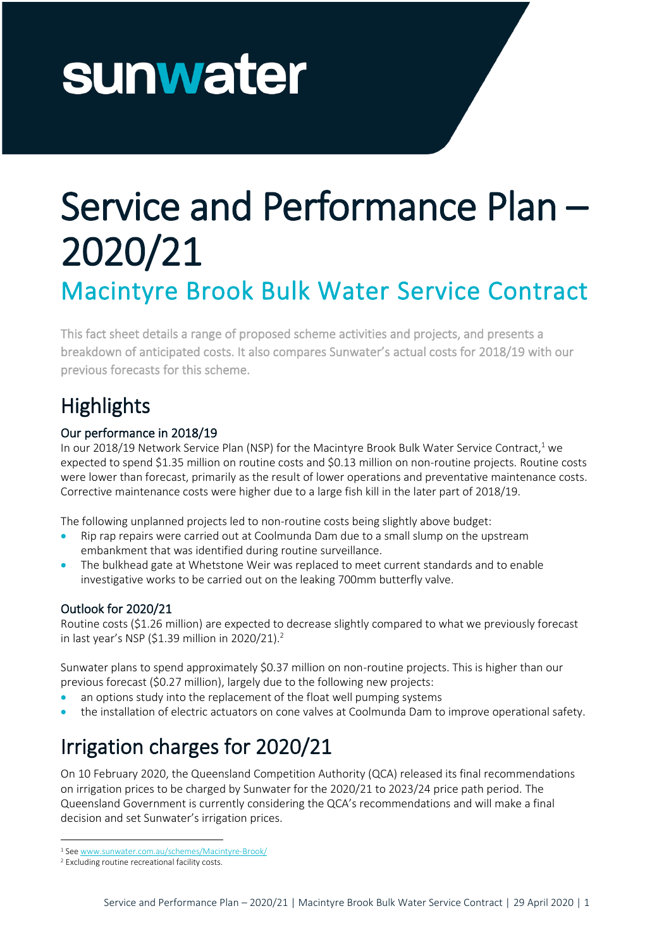## Service and Performance Plan – 2020/21 Macintyre Brook Bulk Water Service Contract

This fact sheet details a range of proposed scheme activities and projects, and presents a breakdown of anticipated costs. It also compares Sunwater's actual costs for 2018/19 with our previous forecasts for this scheme.

## **Highlights**

#### Our performance in 2018/19

In our 2018/19 Network Service Plan (NSP) for the Macintyre Brook Bulk Water Service Contract,<sup>1</sup> we expected to spend \$1.35 million on routine costs and \$0.13 million on non-routine projects. Routine costs were lower than forecast, primarily as the result of lower operations and preventative maintenance costs. Corrective maintenance costs were higher due to a large fish kill in the later part of 2018/19.

The following unplanned projects led to non-routine costs being slightly above budget:

- Rip rap repairs were carried out at Coolmunda Dam due to a small slump on the upstream embankment that was identified during routine surveillance.
- The bulkhead gate at Whetstone Weir was replaced to meet current standards and to enable investigative works to be carried out on the leaking 700mm butterfly valve.

#### Outlook for 2020/21

Routine costs (\$1.26 million) are expected to decrease slightly compared to what we previously forecast in last year's NSP (\$1.39 million in 2020/21). 2

Sunwater plans to spend approximately \$0.37 million on non-routine projects. This is higher than our previous forecast (\$0.27 million), largely due to the following new projects:

- an options study into the replacement of the float well pumping systems
- the installation of electric actuators on cone valves at Coolmunda Dam to improve operational safety.

## Irrigation charges for 2020/21

On 10 February 2020, the Queensland Competition Authority (QCA) released its final recommendations on irrigation prices to be charged by Sunwater for the 2020/21 to 2023/24 price path period. The Queensland Government is currently considering the QCA's recommendations and will make a final decision and set Sunwater's irrigation prices.

<sup>1</sup> Se[e www.sunwater.com.au/schemes/Macintyre-Brook/](https://www.sunwater.com.au/schemes/Macintyre-Brook/)

<sup>2</sup> Excluding routine recreational facility costs.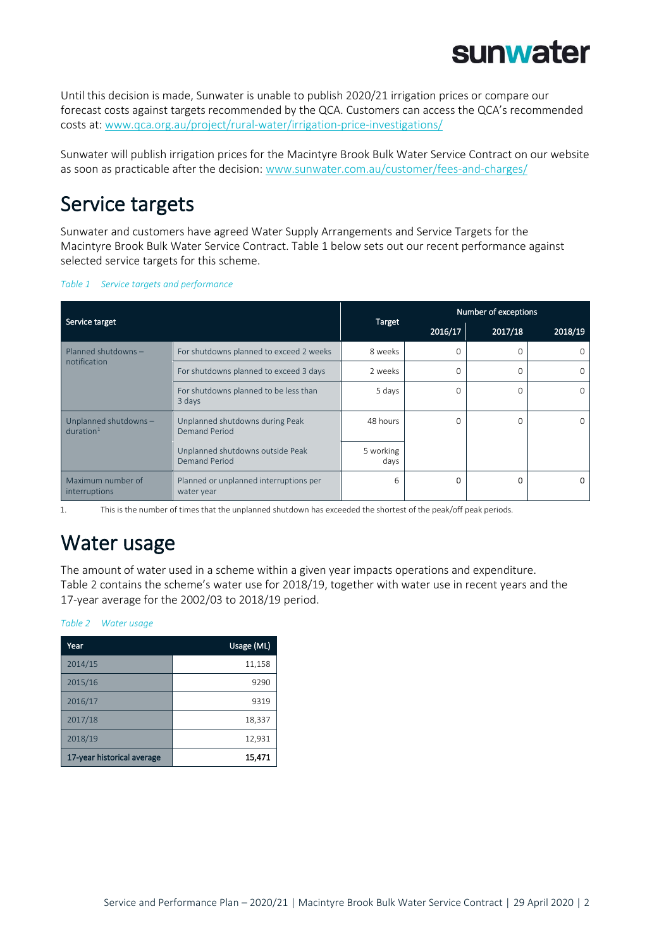Until this decision is made, Sunwater is unable to publish 2020/21 irrigation prices or compare our forecast costs against targets recommended by the QCA. Customers can access the QCA's recommended costs at: [www.qca.org.au/project/rural-water/irrigation-price-investigations/](https://www.qca.org.au/project/rural-water/irrigation-price-investigations/)

Sunwater will publish irrigation prices for the Macintyre Brook Bulk Water Service Contract on our website as soon as practicable after the decision: [www.sunwater.com.au/customer/fees-and-charges/](https://www.sunwater.com.au/customer/fees-and-charges/)

#### Service targets

Sunwater and customers have agreed Water Supply Arrangements and Service Targets for the Macintyre Brook Bulk Water Service Contract. [Table 1](#page-1-0) below sets out our recent performance against selected service targets for this scheme.

<span id="page-1-0"></span>

|  | Table 1 Service targets and performance |  |  |
|--|-----------------------------------------|--|--|
|--|-----------------------------------------|--|--|

|                                               |                                                      |                   | Number of exceptions |          |              |  |  |
|-----------------------------------------------|------------------------------------------------------|-------------------|----------------------|----------|--------------|--|--|
| Service target                                |                                                      | Target            | 2016/17              | 2017/18  | 2018/19      |  |  |
| Planned shutdowns -<br>notification           | For shutdowns planned to exceed 2 weeks              | 8 weeks           | $\Omega$             |          | O            |  |  |
|                                               | For shutdowns planned to exceed 3 days               | 2 weeks           | $\Omega$             |          | $\Omega$     |  |  |
|                                               | For shutdowns planned to be less than<br>3 days      | 5 days            | 0                    |          | $\Omega$     |  |  |
| Unplanned shutdowns-<br>duration <sup>1</sup> | Unplanned shutdowns during Peak<br>Demand Period     | 48 hours          | $\Omega$             |          | O            |  |  |
|                                               | Unplanned shutdowns outside Peak<br>Demand Period    | 5 working<br>days |                      |          |              |  |  |
| Maximum number of<br>interruptions            | Planned or unplanned interruptions per<br>water year | 6                 | 0                    | $\Omega$ | <sup>0</sup> |  |  |

1. This is the number of times that the unplanned shutdown has exceeded the shortest of the peak/off peak periods.

### Water usage

The amount of water used in a scheme within a given year impacts operations and expenditure. [Table](#page-1-1) 2 contains the scheme's water use for 2018/19, together with water use in recent years and the 17-year average for the 2002/03 to 2018/19 period.

<span id="page-1-1"></span>

| Table 2 | Water usage |
|---------|-------------|
|         |             |

| Year                       | Usage (ML) |
|----------------------------|------------|
| 2014/15                    | 11,158     |
| 2015/16                    | 9290       |
| 2016/17                    | 9319       |
| 2017/18                    | 18,337     |
| 2018/19                    | 12,931     |
| 17-year historical average | 15,471     |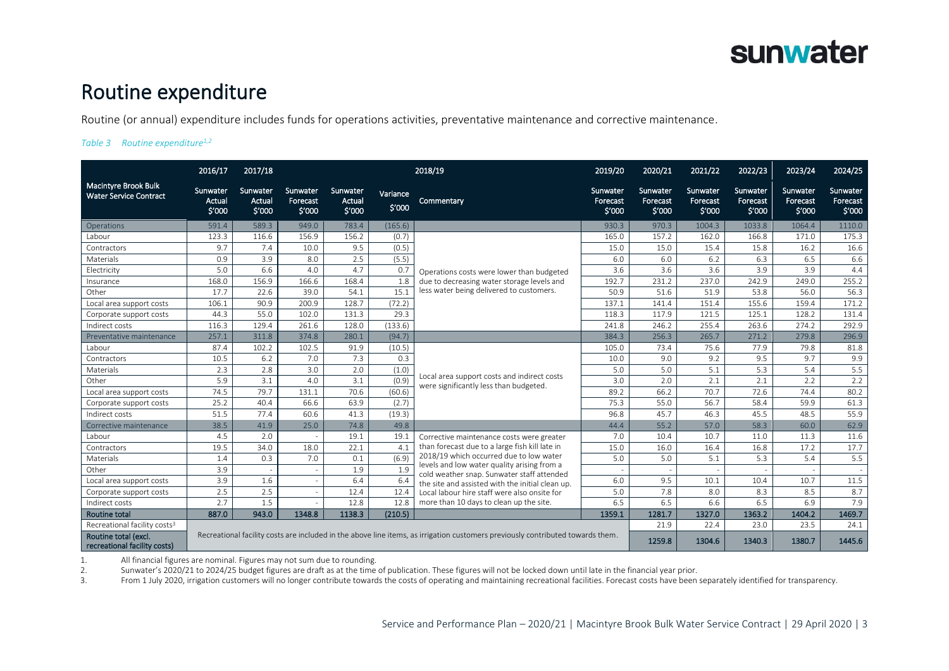

#### Routine expenditure

Routine (or annual) expenditure includes funds for operations activities, preventative maintenance and corrective maintenance.

#### *Table 3 Routine expenditure1,2*

|                                                              | 2016/17                      | 2017/18                                                                                                                        |                                |                              |                    | 2018/19                                                                                | 2019/20                        | 2020/21                        | 2021/22                        | 2022/23                        | 2023/24                        | 2024/25                        |
|--------------------------------------------------------------|------------------------------|--------------------------------------------------------------------------------------------------------------------------------|--------------------------------|------------------------------|--------------------|----------------------------------------------------------------------------------------|--------------------------------|--------------------------------|--------------------------------|--------------------------------|--------------------------------|--------------------------------|
| <b>Macintyre Brook Bulk</b><br><b>Water Service Contract</b> | Sunwater<br>Actual<br>\$'000 | Sunwater<br>Actual<br>\$'000                                                                                                   | Sunwater<br>Forecast<br>\$'000 | Sunwater<br>Actual<br>\$'000 | Variance<br>\$'000 | Commentary                                                                             | Sunwater<br>Forecast<br>\$'000 | Sunwater<br>Forecast<br>\$'000 | Sunwater<br>Forecast<br>\$'000 | Sunwater<br>Forecast<br>\$'000 | Sunwater<br>Forecast<br>\$'000 | Sunwater<br>Forecast<br>\$'000 |
| <b>Operations</b>                                            | 591.4                        | 589.3                                                                                                                          | 949.0                          | 783.4                        | (165.6)            |                                                                                        | 930.3                          | 970.3                          | 1004.3                         | 1033.8                         | 1064.4                         | 1110.0                         |
| Labour                                                       | 123.3                        | 116.6                                                                                                                          | 156.9                          | 156.2                        | (0.7)              |                                                                                        | 165.0                          | 157.2                          | 162.0                          | 166.8                          | 171.0                          | 175.3                          |
| Contractors                                                  | 9.7                          | 7.4                                                                                                                            | 10.0                           | 9.5                          | (0.5)              |                                                                                        | 15.0                           | 15.0                           | 15.4                           | 15.8                           | 16.2                           | 16.6                           |
| Materials                                                    | 0.9                          | 3.9                                                                                                                            | 8.0                            | 2.5                          | (5.5)              |                                                                                        | 6.0                            | 6.0                            | 6.2                            | 6.3                            | 6.5                            | 6.6                            |
| Electricity                                                  | 5.0                          | 6.6                                                                                                                            | 4.0                            | 4.7                          | 0.7                | Operations costs were lower than budgeted                                              | 3.6                            | 3.6                            | 3.6                            | 3.9                            | 3.9                            | 4.4                            |
| Insurance                                                    | 168.0                        | 156.9                                                                                                                          | 166.6                          | 168.4                        | 1.8                | due to decreasing water storage levels and                                             | 192.7                          | 231.2                          | 237.0                          | 242.9                          | 249.0                          | 255.2                          |
| Other                                                        | 17.7                         | 22.6                                                                                                                           | 39.0                           | 54.1                         | 15.1               | less water being delivered to customers.                                               | 50.9                           | 51.6                           | 51.9                           | 53.8                           | 56.0                           | 56.3                           |
| Local area support costs                                     | 106.1                        | 90.9                                                                                                                           | 200.9                          | 128.7                        | (72.2)             |                                                                                        | 137.1                          | 141.4                          | 151.4                          | 155.6                          | 159.4                          | 171.2                          |
| Corporate support costs                                      | 44.3                         | 55.0                                                                                                                           | 102.0                          | 131.3                        | 29.3               |                                                                                        | 118.3                          | 117.9                          | 121.5                          | 125.1                          | 128.2                          | 131.4                          |
| Indirect costs                                               | 116.3                        | 129.4                                                                                                                          | 261.6                          | 128.0                        | (133.6)            |                                                                                        | 241.8                          | 246.2                          | 255.4                          | 263.6                          | 274.2                          | 292.9                          |
| Preventative maintenance                                     | 257.1                        | 311.8                                                                                                                          | 374.8                          | 280.1                        | (94.7)             |                                                                                        | 384.3                          | 256.3                          | 265.7                          | 271.2                          | 279.8                          | 296.9                          |
| Labour                                                       | 87.4                         | 102.2                                                                                                                          | 102.5                          | 91.9                         | (10.5)             |                                                                                        | 105.0                          | 73.4                           | 75.6                           | 77.9                           | 79.8                           | 81.8                           |
| Contractors                                                  | 10.5                         | 6.2                                                                                                                            | 7.0                            | 7.3                          | 0.3                |                                                                                        | 10.0                           | 9.0                            | 9.2                            | 9.5                            | 9.7                            | 9.9                            |
| Materials                                                    | 2.3                          | 2.8                                                                                                                            | 3.0                            | 2.0                          | (1.0)              | Local area support costs and indirect costs                                            | 5.0                            | 5.0                            | 5.1                            | 5.3                            | 5.4                            | 5.5                            |
| Other                                                        | 5.9                          | 3.1                                                                                                                            | 4.0                            | 3.1                          | (0.9)              | were significantly less than budgeted                                                  | 3.0                            | 2.0                            | 2.1                            | 2.1                            | 2.2                            | 2.2                            |
| Local area support costs                                     | 74.5                         | 79.7                                                                                                                           | 131.1                          | 70.6                         | (60.6)             |                                                                                        | 89.2                           | 66.2                           | 70.7                           | 72.6                           | 74.4                           | 80.2                           |
| Corporate support costs                                      | 25.2                         | 40.4                                                                                                                           | 66.6                           | 63.9                         | (2.7)              |                                                                                        | 75.3                           | 55.0                           | 56.7                           | 58.4                           | 59.9                           | 61.3                           |
| Indirect costs                                               | 51.5                         | 77.4                                                                                                                           | 60.6                           | 41.3                         | (19.3)             |                                                                                        | 96.8                           | 45.7                           | 46.3                           | 45.5                           | 48.5                           | 55.9                           |
| Corrective maintenance                                       | 38.5                         | 41.9                                                                                                                           | 25.0                           | 74.8                         | 49.8               |                                                                                        | 44.4                           | 55.2                           | 57.0                           | 58.3                           | 60.0                           | 62.9                           |
| Labour                                                       | 4.5                          | 2.0                                                                                                                            |                                | 19.1                         | 19.1               | Corrective maintenance costs were greater                                              | 7.0                            | 10.4                           | 10.7                           | 11.0                           | 11.3                           | 11.6                           |
| Contractors                                                  | 19.5                         | 34.0                                                                                                                           | 18.0                           | 22.1                         | 4.1                | than forecast due to a large fish kill late in                                         | 15.0                           | 16.0                           | 16.4                           | 16.8                           | 17.2                           | 17.7                           |
| Materials                                                    | 1.4                          | 0.3                                                                                                                            | 7.0                            | 0.1                          | (6.9)              | 2018/19 which occurred due to low water<br>levels and low water quality arising from a | 5.0                            | 5.0                            | 5.1                            | 5.3                            | 5.4                            | 5.5                            |
| Other                                                        | 3.9                          |                                                                                                                                |                                | 1.9                          | 1.9                | cold weather snap. Sunwater staff attended                                             |                                |                                |                                |                                |                                |                                |
| Local area support costs                                     | 3.9                          | 1.6                                                                                                                            |                                | 6.4                          | 6.4                | the site and assisted with the initial clean up.                                       | 6.0                            | 9.5                            | 10.1                           | 10.4                           | 10.7                           | 11.5                           |
| Corporate support costs                                      | 2.5                          | 2.5                                                                                                                            |                                | 12.4                         | 12.4               | Local labour hire staff were also onsite for                                           | 5.0                            | 7.8                            | 8.0                            | 8.3                            | 8.5                            | 8.7                            |
| Indirect costs                                               | 2.7                          | 1.5                                                                                                                            |                                | 12.8                         | 12.8               | more than 10 days to clean up the site.                                                | 6.5                            | 6.5                            | 6.6                            | 6.5                            | 6.9                            | 7.9                            |
| <b>Routine total</b>                                         | 887.0                        | 943.0                                                                                                                          | 1348.8                         | 1138.3                       | (210.5)            |                                                                                        | 1359.1                         | 1281.7                         | 1327.0                         | 1363.2                         | 1404.2                         | 1469.7                         |
| Recreational facility costs <sup>3</sup>                     |                              |                                                                                                                                |                                |                              |                    |                                                                                        |                                | 21.9                           | 22.4                           | 23.0                           | 23.5                           | 24.1                           |
| Routine total (excl.<br>recreational facility costs)         |                              | Recreational facility costs are included in the above line items, as irrigation customers previously contributed towards them. |                                |                              |                    |                                                                                        |                                |                                | 1304.6                         | 1340.3                         | 1380.7                         | 1445.6                         |

1. All financial figures are nominal. Figures may not sum due to rounding.<br>2. Sunwater's 2020/21 to 2024/25 budget figures are draft as at the time

2. Sunwater's 2020/21 to 2024/25 budget figures are draft as at the time of publication. These figures will not be locked down until late in the financial year prior.<br>3. Prom 1 July 2020, irrigation customers will no longe

From 1 July 2020, irrigation customers will no longer contribute towards the costs of operating and maintaining recreational facilities. Forecast costs have been separately identified for transparency.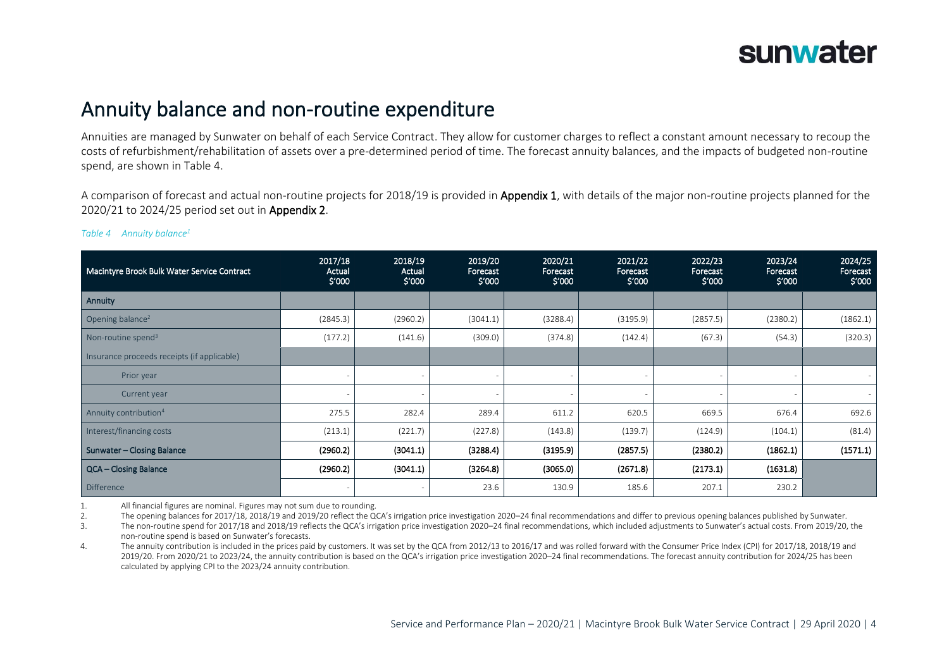

#### Annuity balance and non-routine expenditure

Annuities are managed by Sunwater on behalf of each Service Contract. They allow for customer charges to reflect a constant amount necessary to recoup the costs of refurbishment/rehabilitation of assets over a pre-determined period of time. The forecast annuity balances, and the impacts of budgeted non-routine spend, are shown in [Table 4.](#page-3-0)

A comparison of forecast and actual non-routine projects for 2018/19 is provided in Appendix 1, with details of the major non-routine projects planned for the 2020/21 to 2024/25 period set out in Appendix 2.

| Macintyre Brook Bulk Water Service Contract | 2017/18<br>Actual<br>\$′000 | 2018/19<br>Actual<br>\$'000 | 2019/20<br>Forecast<br>\$'000 | 2020/21<br>Forecast<br>\$'000 | 2021/22<br>Forecast<br>\$'000 | 2022/23<br>Forecast<br>\$'000 | 2023/24<br>Forecast<br>\$′000 | 2024/25<br>Forecast<br>\$′000 |
|---------------------------------------------|-----------------------------|-----------------------------|-------------------------------|-------------------------------|-------------------------------|-------------------------------|-------------------------------|-------------------------------|
| <b>Annuity</b>                              |                             |                             |                               |                               |                               |                               |                               |                               |
| Opening balance <sup>2</sup>                | (2845.3)                    | (2960.2)                    | (3041.1)                      | (3288.4)                      | (3195.9)                      | (2857.5)                      | (2380.2)                      | (1862.1)                      |
| Non-routine spend <sup>3</sup>              | (177.2)                     | (141.6)                     | (309.0)                       | (374.8)                       | (142.4)                       | (67.3)                        | (54.3)                        | (320.3)                       |
| Insurance proceeds receipts (if applicable) |                             |                             |                               |                               |                               |                               |                               |                               |
| Prior year                                  | $\overline{\phantom{a}}$    | $\overline{a}$              |                               |                               |                               |                               |                               |                               |
| Current year                                | $\overline{\phantom{a}}$    | $\overline{\phantom{a}}$    |                               |                               | ٠                             |                               |                               | $\sim$                        |
| Annuity contribution <sup>4</sup>           | 275.5                       | 282.4                       | 289.4                         | 611.2                         | 620.5                         | 669.5                         | 676.4                         | 692.6                         |
| Interest/financing costs                    | (213.1)                     | (221.7)                     | (227.8)                       | (143.8)                       | (139.7)                       | (124.9)                       | (104.1)                       | (81.4)                        |
| Sunwater - Closing Balance                  | (2960.2)                    | (3041.1)                    | (3288.4)                      | (3195.9)                      | (2857.5)                      | (2380.2)                      | (1862.1)                      | (1571.1)                      |
| QCA - Closing Balance                       | (2960.2)                    | (3041.1)                    | (3264.8)                      | (3065.0)                      | (2671.8)                      | (2173.1)                      | (1631.8)                      |                               |
| <b>Difference</b>                           | $\overline{\phantom{a}}$    | $\overline{\phantom{a}}$    | 23.6                          | 130.9                         | 185.6                         | 207.1                         | 230.2                         |                               |

#### <span id="page-3-0"></span>*Table 4 Annuity balance<sup>1</sup>*

1. All financial figures are nominal. Figures may not sum due to rounding.

2. The opening balances for 2017/18, 2018/19 and 2019/20 reflect the QCA's irrigation price investigation 2020–24 final recommendations and differ to previous opening balances published by Sunwater.

3. The non-routine spend for 2017/18 and 2018/19 reflects the QCA's irrigation price investigation 2020–24 final recommendations, which included adjustments to Sunwater's actual costs. From 2019/20, the non-routine spend is based on Sunwater's forecasts.

4. The annuity contribution is included in the prices paid by customers. It was set by the QCA from 2012/13 to 2016/17 and was rolled forward with the Consumer Price Index (CPI) for 2017/18, 2018/19 and 2019/20. From 2020/21 to 2023/24, the annuity contribution is based on the QCA's irrigation price investigation 2020–24 final recommendations. The forecast annuity contribution for 2024/25 has been calculated by applying CPI to the 2023/24 annuity contribution.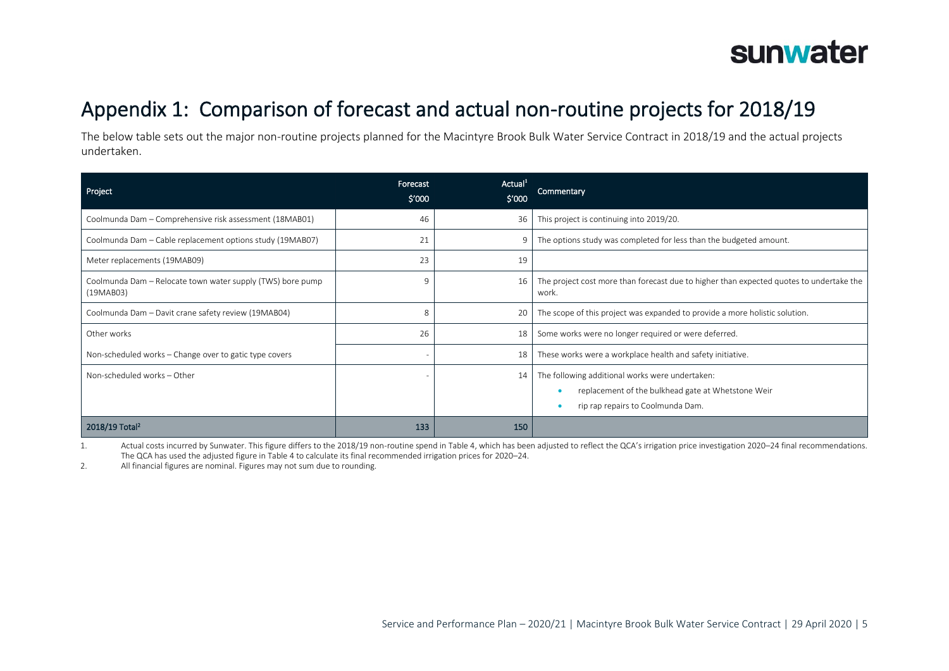

#### Appendix 1: Comparison of forecast and actual non-routine projects for 2018/19

The below table sets out the major non-routine projects planned for the Macintyre Brook Bulk Water Service Contract in 2018/19 and the actual projects undertaken.

| Project                                                                 | Forecast<br>\$'000 | Actual <sup>1</sup><br>\$′000 | <b>Commentary</b>                                                                                                                          |
|-------------------------------------------------------------------------|--------------------|-------------------------------|--------------------------------------------------------------------------------------------------------------------------------------------|
| Coolmunda Dam - Comprehensive risk assessment (18MAB01)                 | 46                 | 36                            | This project is continuing into 2019/20.                                                                                                   |
| Coolmunda Dam - Cable replacement options study (19MAB07)               | 21                 | 9                             | The options study was completed for less than the budgeted amount.                                                                         |
| Meter replacements (19MAB09)                                            | 23                 | 19                            |                                                                                                                                            |
| Coolmunda Dam - Relocate town water supply (TWS) bore pump<br>(19MAB03) | 9                  | 16                            | The project cost more than forecast due to higher than expected quotes to undertake the<br>work.                                           |
| Coolmunda Dam - Davit crane safety review (19MAB04)                     | 8                  | 20                            | The scope of this project was expanded to provide a more holistic solution.                                                                |
| Other works                                                             | 26                 | 18                            | Some works were no longer required or were deferred.                                                                                       |
| Non-scheduled works – Change over to gatic type covers                  |                    | 18                            | These works were a workplace health and safety initiative.                                                                                 |
| Non-scheduled works - Other                                             |                    | 14                            | The following additional works were undertaken:<br>replacement of the bulkhead gate at Whetstone Weir<br>rip rap repairs to Coolmunda Dam. |
| 2018/19 Total <sup>2</sup>                                              | 133                | 150                           |                                                                                                                                            |

1. Actual costs incurred by Sunwater. This figure differs to the 2018/19 non-routine spend in [Table 4,](#page-3-0) which has been adjusted to reflect the QCA's irrigation price investigation 2020–24 final recommendations. The QCA has used the adjusted figure i[n Table 4](#page-3-0) to calculate its final recommended irrigation prices for 2020–24.

2. All financial figures are nominal. Figures may not sum due to rounding.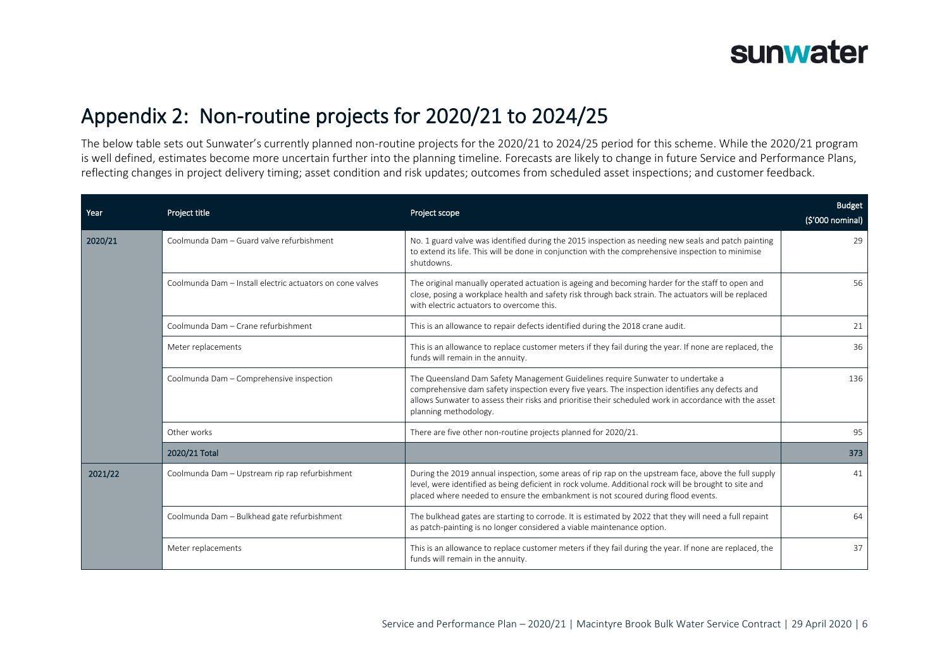

#### Appendix 2: Non-routine projects for 2020/21 to 2024/25

The below table sets out Sunwater's currently planned non-routine projects for the 2020/21 to 2024/25 period for this scheme. While the 2020/21 program is well defined, estimates become more uncertain further into the planning timeline. Forecasts are likely to change in future Service and Performance Plans, reflecting changes in project delivery timing; asset condition and risk updates; outcomes from scheduled asset inspections; and customer feedback.

| Year    | Project title                                             | Project scope                                                                                                                                                                                                                                                                                                         | <b>Budget</b><br>(\$'000 nominal) |
|---------|-----------------------------------------------------------|-----------------------------------------------------------------------------------------------------------------------------------------------------------------------------------------------------------------------------------------------------------------------------------------------------------------------|-----------------------------------|
| 2020/21 | Coolmunda Dam - Guard valve refurbishment                 | No. 1 guard valve was identified during the 2015 inspection as needing new seals and patch painting<br>to extend its life. This will be done in conjunction with the comprehensive inspection to minimise<br>shutdowns.                                                                                               | 29                                |
|         | Coolmunda Dam - Install electric actuators on cone valves | The original manually operated actuation is ageing and becoming harder for the staff to open and<br>close, posing a workplace health and safety risk through back strain. The actuators will be replaced<br>with electric actuators to overcome this.                                                                 | 56                                |
|         | Coolmunda Dam - Crane refurbishment                       | This is an allowance to repair defects identified during the 2018 crane audit.                                                                                                                                                                                                                                        | 21                                |
|         | Meter replacements                                        | This is an allowance to replace customer meters if they fail during the year. If none are replaced, the<br>funds will remain in the annuity.                                                                                                                                                                          | 36                                |
|         | Coolmunda Dam - Comprehensive inspection                  | The Queensland Dam Safety Management Guidelines require Sunwater to undertake a<br>comprehensive dam safety inspection every five years. The inspection identifies any defects and<br>allows Sunwater to assess their risks and prioritise their scheduled work in accordance with the asset<br>planning methodology. | 136                               |
|         | Other works                                               | There are five other non-routine projects planned for 2020/21.                                                                                                                                                                                                                                                        | 95                                |
|         | 2020/21 Total                                             |                                                                                                                                                                                                                                                                                                                       | 373                               |
| 2021/22 | Coolmunda Dam - Upstream rip rap refurbishment            | During the 2019 annual inspection, some areas of rip rap on the upstream face, above the full supply<br>level, were identified as being deficient in rock volume. Additional rock will be brought to site and<br>placed where needed to ensure the embankment is not scoured during flood events.                     | 41                                |
|         | Coolmunda Dam - Bulkhead gate refurbishment               | The bulkhead gates are starting to corrode. It is estimated by 2022 that they will need a full repaint<br>as patch-painting is no longer considered a viable maintenance option.                                                                                                                                      | 64                                |
|         | Meter replacements                                        | This is an allowance to replace customer meters if they fail during the year. If none are replaced, the<br>funds will remain in the annuity.                                                                                                                                                                          | 37                                |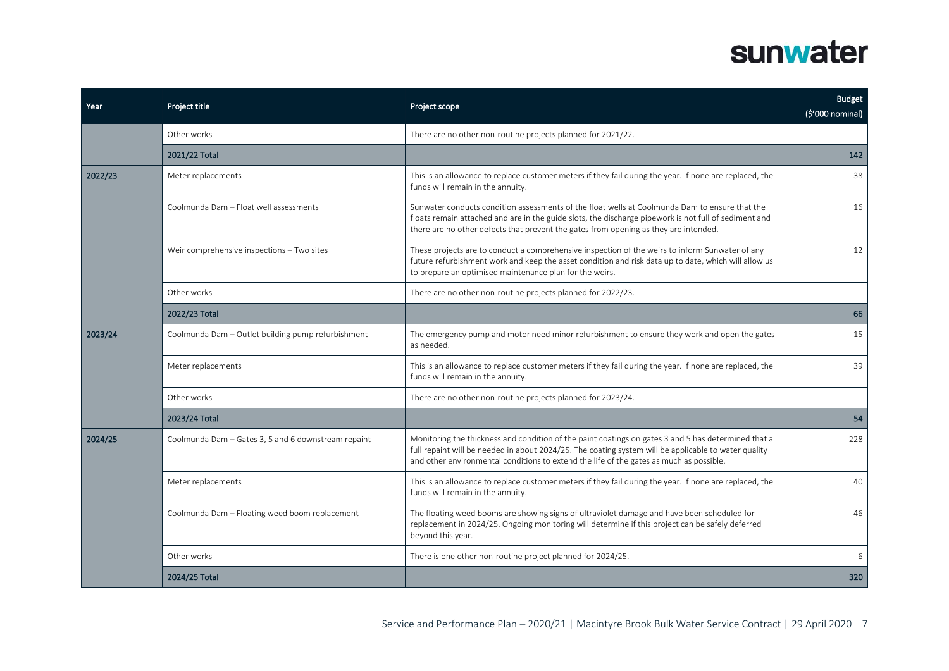| Year    | Project title                                       | Project scope                                                                                                                                                                                                                                                                                          | <b>Budget</b><br>(\$'000 nominal) |
|---------|-----------------------------------------------------|--------------------------------------------------------------------------------------------------------------------------------------------------------------------------------------------------------------------------------------------------------------------------------------------------------|-----------------------------------|
|         | Other works                                         | There are no other non-routine projects planned for 2021/22.                                                                                                                                                                                                                                           |                                   |
|         | 2021/22 Total                                       |                                                                                                                                                                                                                                                                                                        | 142                               |
| 2022/23 | Meter replacements                                  | This is an allowance to replace customer meters if they fail during the year. If none are replaced, the<br>funds will remain in the annuity.                                                                                                                                                           | 38                                |
|         | Coolmunda Dam - Float well assessments              | Sunwater conducts condition assessments of the float wells at Coolmunda Dam to ensure that the<br>floats remain attached and are in the guide slots, the discharge pipework is not full of sediment and<br>there are no other defects that prevent the gates from opening as they are intended.        | 16                                |
|         | Weir comprehensive inspections - Two sites          | These projects are to conduct a comprehensive inspection of the weirs to inform Sunwater of any<br>future refurbishment work and keep the asset condition and risk data up to date, which will allow us<br>to prepare an optimised maintenance plan for the weirs.                                     | 12                                |
|         | Other works                                         | There are no other non-routine projects planned for 2022/23.                                                                                                                                                                                                                                           |                                   |
|         | 2022/23 Total                                       |                                                                                                                                                                                                                                                                                                        | 66                                |
| 2023/24 | Coolmunda Dam - Outlet building pump refurbishment  | The emergency pump and motor need minor refurbishment to ensure they work and open the gates<br>as needed.                                                                                                                                                                                             | 15                                |
|         | Meter replacements                                  | This is an allowance to replace customer meters if they fail during the year. If none are replaced, the<br>funds will remain in the annuity.                                                                                                                                                           | 39                                |
|         | Other works                                         | There are no other non-routine projects planned for 2023/24.                                                                                                                                                                                                                                           |                                   |
|         | 2023/24 Total                                       |                                                                                                                                                                                                                                                                                                        | 54                                |
| 2024/25 | Coolmunda Dam - Gates 3, 5 and 6 downstream repaint | Monitoring the thickness and condition of the paint coatings on gates 3 and 5 has determined that a<br>full repaint will be needed in about 2024/25. The coating system will be applicable to water quality<br>and other environmental conditions to extend the life of the gates as much as possible. | 228                               |
|         | Meter replacements                                  | This is an allowance to replace customer meters if they fail during the year. If none are replaced, the<br>funds will remain in the annuity.                                                                                                                                                           | 40                                |
|         | Coolmunda Dam - Floating weed boom replacement      | The floating weed booms are showing signs of ultraviolet damage and have been scheduled for<br>replacement in 2024/25. Ongoing monitoring will determine if this project can be safely deferred<br>beyond this year.                                                                                   | 46                                |
|         | Other works                                         | There is one other non-routine project planned for 2024/25.                                                                                                                                                                                                                                            | 6                                 |
|         | 2024/25 Total                                       |                                                                                                                                                                                                                                                                                                        | 320                               |